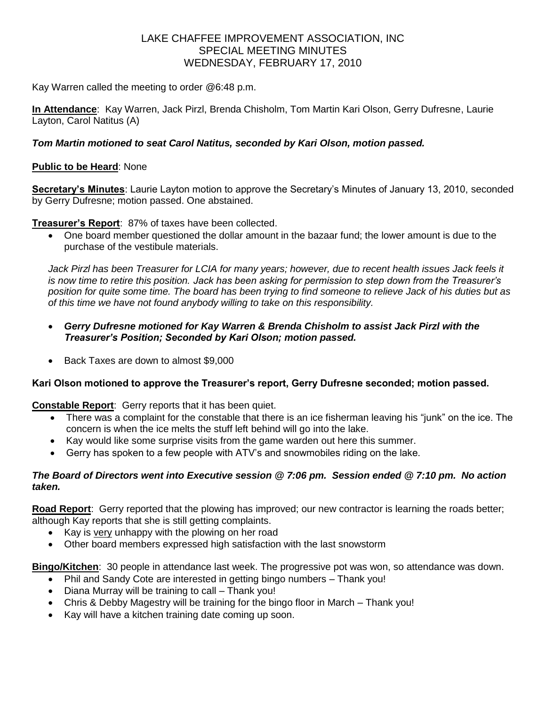# LAKE CHAFFEE IMPROVEMENT ASSOCIATION, INC SPECIAL MEETING MINUTES WEDNESDAY, FEBRUARY 17, 2010

Kay Warren called the meeting to order @6:48 p.m.

**In Attendance**: Kay Warren, Jack Pirzl, Brenda Chisholm, Tom Martin Kari Olson, Gerry Dufresne, Laurie Layton, Carol Natitus (A)

#### *Tom Martin motioned to seat Carol Natitus, seconded by Kari Olson, motion passed.*

#### **Public to be Heard**: None

**Secretary's Minutes**: Laurie Layton motion to approve the Secretary's Minutes of January 13, 2010, seconded by Gerry Dufresne; motion passed. One abstained.

**Treasurer's Report**: 87% of taxes have been collected.

 One board member questioned the dollar amount in the bazaar fund; the lower amount is due to the purchase of the vestibule materials.

*Jack Pirzl has been Treasurer for LCIA for many years; however, due to recent health issues Jack feels it is now time to retire this position. Jack has been asking for permission to step down from the Treasurer's position for quite some time. The board has been trying to find someone to relieve Jack of his duties but as of this time we have not found anybody willing to take on this responsibility.*

- *Gerry Dufresne motioned for Kay Warren & Brenda Chisholm to assist Jack Pirzl with the Treasurer's Position; Seconded by Kari Olson; motion passed.*
- Back Taxes are down to almost \$9,000

#### **Kari Olson motioned to approve the Treasurer's report, Gerry Dufresne seconded; motion passed.**

**Constable Report**: Gerry reports that it has been quiet.

- There was a complaint for the constable that there is an ice fisherman leaving his "junk" on the ice. The concern is when the ice melts the stuff left behind will go into the lake.
- Kay would like some surprise visits from the game warden out here this summer.
- Gerry has spoken to a few people with ATV's and snowmobiles riding on the lake.

#### *The Board of Directors went into Executive session @ 7:06 pm. Session ended @ 7:10 pm. No action taken.*

**Road Report**: Gerry reported that the plowing has improved; our new contractor is learning the roads better; although Kay reports that she is still getting complaints.

- Kay is very unhappy with the plowing on her road
- Other board members expressed high satisfaction with the last snowstorm

**Bingo/Kitchen**: 30 people in attendance last week. The progressive pot was won, so attendance was down.

- Phil and Sandy Cote are interested in getting bingo numbers Thank you!
- Diana Murray will be training to call Thank you!
- Chris & Debby Magestry will be training for the bingo floor in March Thank you!
- Kay will have a kitchen training date coming up soon.